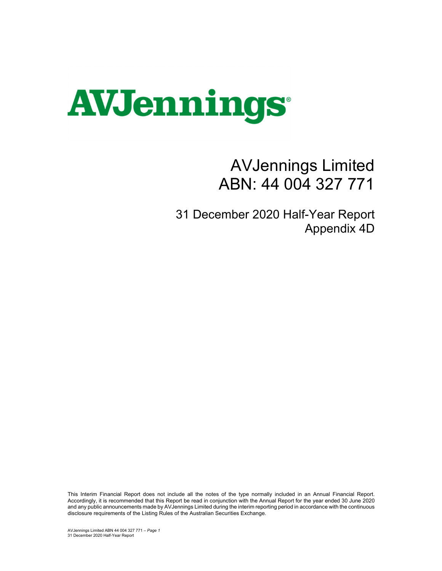

## AVJennings Limited ABN: 44 004 327 771

31 December 2020 Half-Year Report Appendix 4D

This Interim Financial Report does not include all the notes of the type normally included in an Annual Financial Report. Accordingly, it is recommended that this Report be read in conjunction with the Annual Report for the year ended 30 June 2020 and any public announcements made by AVJennings Limited during the interim reporting period in accordance with the continuous disclosure requirements of the Listing Rules of the Australian Securities Exchange.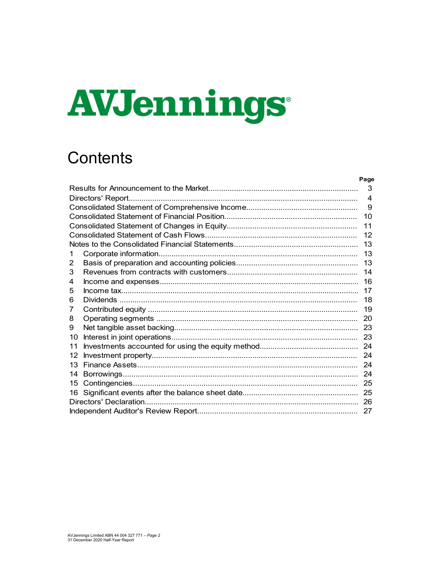# AVJennings

## **Contents**

|    | Page             |
|----|------------------|
|    | 3                |
|    | $\boldsymbol{4}$ |
|    | 9                |
|    | 10               |
|    | 11               |
|    | 12               |
|    | 13               |
| 1  | 13               |
| 2  | 13               |
| 3  | 14               |
| 4  | 16               |
| 5  | 17               |
| 6  | 18               |
| 7  | 19               |
| 8  | 20               |
| 9  | 23               |
| 10 | 23               |
| 11 | 24               |
| 12 | 24               |
| 13 | 24               |
| 14 | 24               |
| 15 | 25               |
| 16 | 25               |
|    |                  |
|    |                  |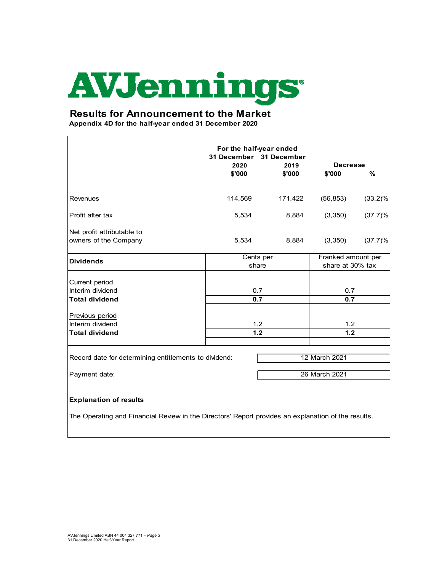# **AVJennings**

#### **Results for Announcement to the Market**

**Appendix 4D for the half-year ended 31 December 2020**

| For the half-year ended<br>31 December 31 December<br>2020<br>2019<br><b>Decrease</b> |                  |         |                    |            |  |
|---------------------------------------------------------------------------------------|------------------|---------|--------------------|------------|--|
|                                                                                       | \$'000           | \$'000  | \$'000             | $\%$       |  |
|                                                                                       |                  |         |                    |            |  |
| <b>Revenues</b>                                                                       | 114,569          | 171,422 | (56, 853)          | $(33.2)\%$ |  |
| Profit after tax                                                                      | 5,534            | 8,884   | (3,350)            | (37.7)%    |  |
| Net profit attributable to                                                            |                  |         |                    |            |  |
| owners of the Company                                                                 | 5,534            | 8,884   | (3, 350)           | (37.7)%    |  |
| <b>Dividends</b>                                                                      | Cents per        |         | Franked amount per |            |  |
|                                                                                       | share            |         | share at 30% tax   |            |  |
| Current period                                                                        |                  |         |                    |            |  |
| Interim dividend                                                                      | 0.7              |         | 0.7                |            |  |
| <b>Total dividend</b>                                                                 | 0.7              |         | 0.7                |            |  |
| Previous period                                                                       |                  |         |                    |            |  |
| Interim dividend                                                                      | 1.2              |         | 1.2                |            |  |
| <b>Total dividend</b>                                                                 | $\overline{1.2}$ |         | 1.2                |            |  |
|                                                                                       |                  |         |                    |            |  |
| Record date for determining entitlements to dividend:                                 |                  |         | 12 March 2021      |            |  |
| Payment date:                                                                         |                  |         | 26 March 2021      |            |  |
|                                                                                       |                  |         |                    |            |  |
| <b>Explanation of results</b>                                                         |                  |         |                    |            |  |

The Operating and Financial Review in the Directors' Report provides an explanation of the results.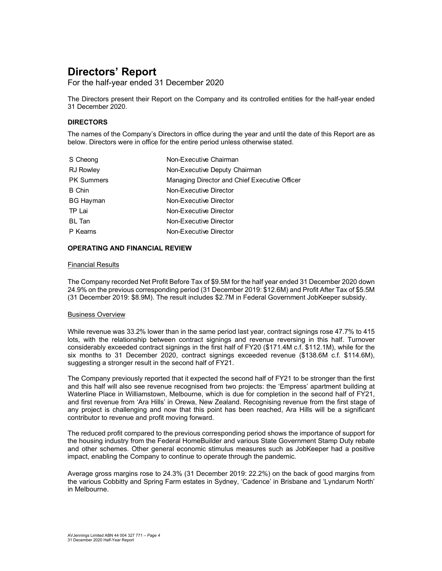For the half-year ended 31 December 2020

The Directors present their Report on the Company and its controlled entities for the half-year ended 31 December 2020.

#### **DIRECTORS**

The names of the Company's Directors in office during the year and until the date of this Report are as below. Directors were in office for the entire period unless otherwise stated.

| S Cheong          | Non-Executive Chairman                        |
|-------------------|-----------------------------------------------|
| <b>RJ Rowley</b>  | Non-Executive Deputy Chairman                 |
| <b>PK Summers</b> | Managing Director and Chief Executive Officer |
| <b>B</b> Chin     | Non-Executive Director                        |
| <b>BG Hayman</b>  | Non-Executive Director                        |
| TP Lai            | Non-Executive Director                        |
| <b>BL</b> Tan     | Non-Executive Director                        |
| P Kearns          | Non-Executive Director                        |

#### **OPERATING AND FINANCIAL REVIEW**

#### Financial Results

The Company recorded Net Profit Before Tax of \$9.5M for the half year ended 31 December 2020 down 24.9% on the previous corresponding period (31 December 2019: \$12.6M) and Profit After Tax of \$5.5M (31 December 2019: \$8.9M). The result includes \$2.7M in Federal Government JobKeeper subsidy.

#### Business Overview

While revenue was 33.2% lower than in the same period last year, contract signings rose 47.7% to 415 lots, with the relationship between contract signings and revenue reversing in this half. Turnover considerably exceeded contract signings in the first half of FY20 (\$171.4M c.f. \$112.1M), while for the six months to 31 December 2020, contract signings exceeded revenue (\$138.6M c.f. \$114.6M), suggesting a stronger result in the second half of FY21.

The Company previously reported that it expected the second half of FY21 to be stronger than the first and this half will also see revenue recognised from two projects: the 'Empress' apartment building at Waterline Place in Williamstown, Melbourne, which is due for completion in the second half of FY21, and first revenue from 'Ara Hills' in Orewa, New Zealand. Recognising revenue from the first stage of any project is challenging and now that this point has been reached, Ara Hills will be a significant contributor to revenue and profit moving forward.

The reduced profit compared to the previous corresponding period shows the importance of support for the housing industry from the Federal HomeBuilder and various State Government Stamp Duty rebate and other schemes. Other general economic stimulus measures such as JobKeeper had a positive impact, enabling the Company to continue to operate through the pandemic.

Average gross margins rose to 24.3% (31 December 2019: 22.2%) on the back of good margins from the various Cobbitty and Spring Farm estates in Sydney, 'Cadence' in Brisbane and 'Lyndarum North' in Melbourne.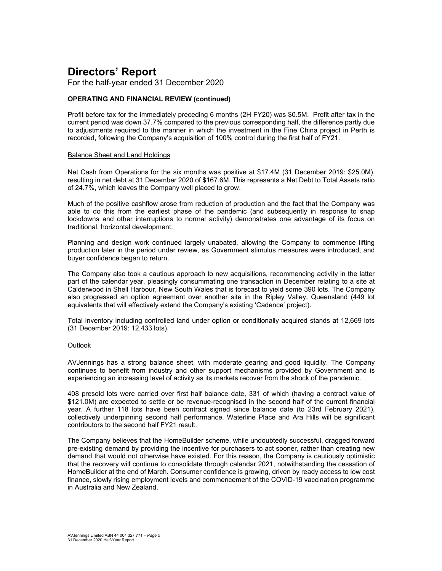For the half-year ended 31 December 2020

#### **OPERATING AND FINANCIAL REVIEW (continued)**

Profit before tax for the immediately preceding 6 months (2H FY20) was \$0.5M. Profit after tax in the current period was down 37.7% compared to the previous corresponding half, the difference partly due to adjustments required to the manner in which the investment in the Fine China project in Perth is recorded, following the Company's acquisition of 100% control during the first half of FY21.

#### Balance Sheet and Land Holdings

Net Cash from Operations for the six months was positive at \$17.4M (31 December 2019: \$25.0M), resulting in net debt at 31 December 2020 of \$167.6M. This represents a Net Debt to Total Assets ratio of 24.7%, which leaves the Company well placed to grow.

Much of the positive cashflow arose from reduction of production and the fact that the Company was able to do this from the earliest phase of the pandemic (and subsequently in response to snap lockdowns and other interruptions to normal activity) demonstrates one advantage of its focus on traditional, horizontal development.

Planning and design work continued largely unabated, allowing the Company to commence lifting production later in the period under review, as Government stimulus measures were introduced, and buyer confidence began to return.

The Company also took a cautious approach to new acquisitions, recommencing activity in the latter part of the calendar year, pleasingly consummating one transaction in December relating to a site at Calderwood in Shell Harbour, New South Wales that is forecast to yield some 390 lots. The Company also progressed an option agreement over another site in the Ripley Valley, Queensland (449 lot equivalents that will effectively extend the Company's existing 'Cadence' project).

Total inventory including controlled land under option or conditionally acquired stands at 12,669 lots (31 December 2019: 12,433 lots).

#### **Outlook**

AVJennings has a strong balance sheet, with moderate gearing and good liquidity. The Company continues to benefit from industry and other support mechanisms provided by Government and is experiencing an increasing level of activity as its markets recover from the shock of the pandemic.

408 presold lots were carried over first half balance date, 331 of which (having a contract value of \$121.0M) are expected to settle or be revenue-recognised in the second half of the current financial year. A further 118 lots have been contract signed since balance date (to 23rd February 2021), collectively underpinning second half performance. Waterline Place and Ara Hills will be significant contributors to the second half FY21 result.

The Company believes that the HomeBuilder scheme, while undoubtedly successful, dragged forward pre-existing demand by providing the incentive for purchasers to act sooner, rather than creating new demand that would not otherwise have existed. For this reason, the Company is cautiously optimistic that the recovery will continue to consolidate through calendar 2021, notwithstanding the cessation of HomeBuilder at the end of March. Consumer confidence is growing, driven by ready access to low cost finance, slowly rising employment levels and commencement of the COVID-19 vaccination programme in Australia and New Zealand.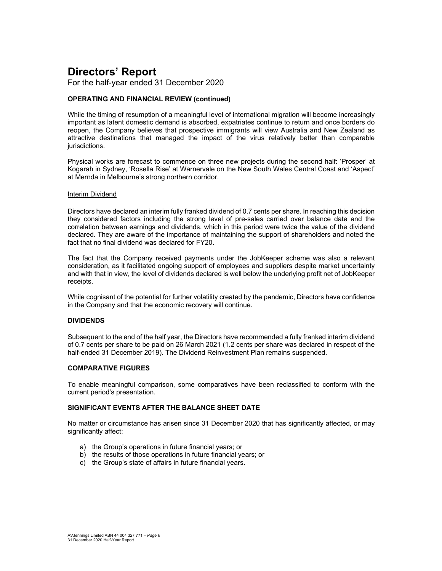For the half-year ended 31 December 2020

#### **OPERATING AND FINANCIAL REVIEW (continued)**

While the timing of resumption of a meaningful level of international migration will become increasingly important as latent domestic demand is absorbed, expatriates continue to return and once borders do reopen, the Company believes that prospective immigrants will view Australia and New Zealand as attractive destinations that managed the impact of the virus relatively better than comparable jurisdictions.

Physical works are forecast to commence on three new projects during the second half: 'Prosper' at Kogarah in Sydney, 'Rosella Rise' at Warnervale on the New South Wales Central Coast and 'Aspect' at Mernda in Melbourne's strong northern corridor.

#### Interim Dividend

Directors have declared an interim fully franked dividend of 0.7 cents per share. In reaching this decision they considered factors including the strong level of pre-sales carried over balance date and the correlation between earnings and dividends, which in this period were twice the value of the dividend declared. They are aware of the importance of maintaining the support of shareholders and noted the fact that no final dividend was declared for FY20.

The fact that the Company received payments under the JobKeeper scheme was also a relevant consideration, as it facilitated ongoing support of employees and suppliers despite market uncertainty and with that in view, the level of dividends declared is well below the underlying profit net of JobKeeper receipts.

While cognisant of the potential for further volatility created by the pandemic, Directors have confidence in the Company and that the economic recovery will continue.

#### **DIVIDENDS**

Subsequent to the end of the half year, the Directors have recommended a fully franked interim dividend of 0.7 cents per share to be paid on 26 March 2021 (1.2 cents per share was declared in respect of the half-ended 31 December 2019). The Dividend Reinvestment Plan remains suspended.

#### **COMPARATIVE FIGURES**

To enable meaningful comparison, some comparatives have been reclassified to conform with the current period's presentation.

#### **SIGNIFICANT EVENTS AFTER THE BALANCE SHEET DATE**

No matter or circumstance has arisen since 31 December 2020 that has significantly affected, or may significantly affect:

- a) the Group's operations in future financial years; or
- b) the results of those operations in future financial years; or
- c) the Group's state of affairs in future financial years.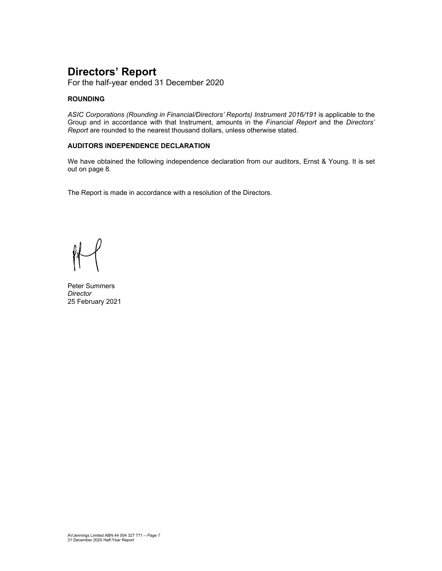For the half-year ended 31 December 2020

#### **ROUNDING**

*ASIC Corporations (Rounding in Financial/Directors' Reports) Instrument 2016/191* is applicable to the Group and in accordance with that Instrument, amounts in the *Financial Report* and the *Directors' Report* are rounded to the nearest thousand dollars, unless otherwise stated.

#### **AUDITORS INDEPENDENCE DECLARATION**

We have obtained the following independence declaration from our auditors, Ernst & Young. It is set out on page 8.

The Report is made in accordance with a resolution of the Directors.

Peter Summers *Director*  25 February 2021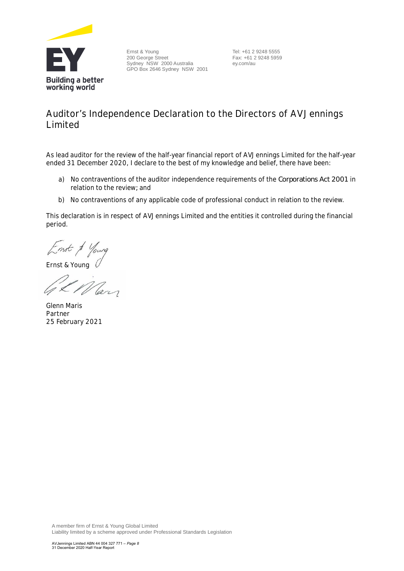

Ernst & Young 200 George Street Sydney NSW 2000 Australia GPO Box 2646 Sydney NSW 2001 Tel: +61 2 9248 5555 Fax: +61 2 9248 5959 ey.com/au

## **Auditor's Independence Declaration to the Directors of AVJennings Limited**

As lead auditor for the review of the half-year financial report of AVJennings Limited for the half-year ended 31 December 2020, I declare to the best of my knowledge and belief, there have been:

- a) No contraventions of the auditor independence requirements of the *Corporations Act 2001* in relation to the review*;* and
- b) No contraventions of any applicable code of professional conduct in relation to the review.

This declaration is in respect of AVJennings Limited and the entities it controlled during the financial period.

Ernst & Young

Ph May

Glenn Maris Partner 25 February 2021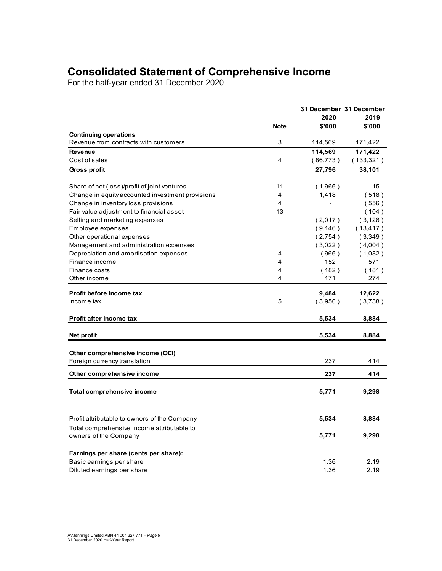## **Consolidated Statement of Comprehensive Income**

For the half-year ended 31 December 2020

|                                                  |             | 31 December 31 December |           |
|--------------------------------------------------|-------------|-------------------------|-----------|
|                                                  |             | 2020                    | 2019      |
|                                                  | <b>Note</b> | \$'000                  | \$'000    |
| <b>Continuing operations</b>                     |             |                         |           |
| Revenue from contracts with customers            | 3           | 114,569                 | 171,422   |
| <b>Revenue</b>                                   |             | 114,569                 | 171,422   |
| Cost of sales                                    | 4           | (86,773)                | (133,321) |
| Gross profit                                     |             | 27,796                  | 38,101    |
| Share of net (loss)/profit of joint ventures     | 11          | (1,966)                 | 15        |
| Change in equity accounted investment provisions | 4           | 1,418                   | (518)     |
| Change in inventory loss provisions              | 4           |                         | (556)     |
| Fair value adjustment to financial asset         | 13          |                         | (104)     |
| Selling and marketing expenses                   |             | (2,017)                 | (3, 128)  |
| Employee expenses                                |             | (9, 146)                | (13, 417) |
| Other operational expenses                       |             | (2,754)                 | (3,349)   |
| Management and administration expenses           |             | (3,022)                 | (4,004)   |
| Depreciation and amortisation expenses           | 4           | (966)                   | (1,082)   |
| Finance income                                   | 4           | 152                     | 571       |
| Finance costs                                    | 4           | (182)                   | (181)     |
| Other income                                     | 4           | 171                     | 274       |
| Profit before income tax                         |             | 9,484                   | 12,622    |
| Income tax                                       | 5           | (3,950)                 | (3,738)   |
| Profit after income tax                          |             | 5,534                   | 8,884     |
|                                                  |             |                         |           |
| Net profit                                       |             | 5,534                   | 8,884     |
|                                                  |             |                         |           |
| Other comprehensive income (OCI)                 |             | 237                     | 414       |
| Foreign currency translation                     |             |                         |           |
| Other comprehensive income                       |             | 237                     | 414       |
| <b>Total comprehensive income</b>                |             | 5,771                   | 9,298     |
|                                                  |             |                         |           |
| Profit attributable to owners of the Company     |             | 5,534                   | 8,884     |
| Total comprehensive income attributable to       |             |                         |           |
| owners of the Company                            |             | 5,771                   | 9,298     |
| Earnings per share (cents per share):            |             |                         |           |
| Basic earnings per share                         |             | 1.36                    | 2.19      |
| Diluted earnings per share                       |             | 1.36                    | 2.19      |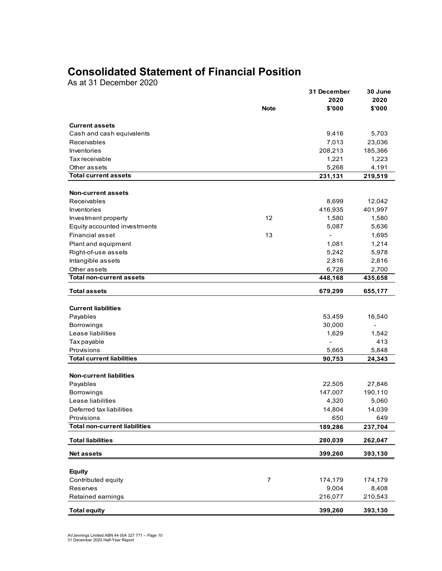## **Consolidated Statement of Financial Position**

As at 31 December 2020

|                                      |                | 31 December    | 30 June        |
|--------------------------------------|----------------|----------------|----------------|
|                                      | <b>Note</b>    | 2020<br>\$'000 | 2020<br>\$'000 |
|                                      |                |                |                |
| <b>Current assets</b>                |                |                |                |
| Cash and cash equivalents            |                | 9,416          | 5,703          |
| Receivables                          |                | 7,013          | 23,036         |
| Inventories                          |                | 208,213        | 185,366        |
| Tax receivable                       |                | 1,221          | 1,223          |
| Other assets                         |                | 5,268          | 4,191          |
| <b>Total current assets</b>          |                | 231,131        | 219,519        |
|                                      |                |                |                |
| <b>Non-current assets</b>            |                |                |                |
| <b>Receivables</b>                   |                | 8,699          | 12,042         |
| Inventories                          |                | 416,935        | 401,997        |
| Investment property                  | 12             | 1,580          | 1,580          |
| Equity accounted investments         |                | 5,087          | 5,636          |
| Financial asset                      | 13             | ÷,             | 1,695          |
| Plant and equipment                  |                | 1,081          | 1,214          |
| Right-of-use assets                  |                | 5,242          | 5,978          |
| Intangible assets                    |                | 2,816          | 2,816          |
| Other assets                         |                | 6,728          | 2,700          |
| <b>Total non-current assets</b>      |                | 448,168        | 435,658        |
| <b>Total assets</b>                  |                | 679,299        | 655,177        |
|                                      |                |                |                |
| <b>Current liabilities</b>           |                |                |                |
| Payables                             |                | 53,459         | 16,540         |
| Borrowings                           |                | 30,000         | $\blacksquare$ |
| Lease liabilities                    |                | 1,629          | 1,542          |
| Tax payable                          |                | L,             | 413            |
| Provisions                           |                | 5,665          | 5,848          |
| <b>Total current liabilities</b>     |                | 90,753         | 24,343         |
|                                      |                |                |                |
| <b>Non-current liabilities</b>       |                |                |                |
| Payables                             |                | 22,505         | 27,846         |
| <b>Borrowings</b>                    |                | 147,007        | 190,110        |
| Lease liabilities                    |                | 4,320          | 5,060          |
| Deferred tax liabilities             |                | 14,804         | 14,039         |
| Provisions                           |                | 650            | 649            |
| <b>Total non-current liabilities</b> |                | 189,286        | 237,704        |
| <b>Total liabilities</b>             |                | 280,039        | 262,047        |
| <b>Net assets</b>                    |                | 399,260        | 393,130        |
|                                      |                |                |                |
| <b>Equity</b>                        |                |                |                |
| Contributed equity                   | $\overline{7}$ | 174,179        | 174,179        |
| Reserves                             |                | 9,004          | 8,408          |
| Retained earnings                    |                | 216,077        | 210,543        |
| <b>Total equity</b>                  |                | 399,260        | 393,130        |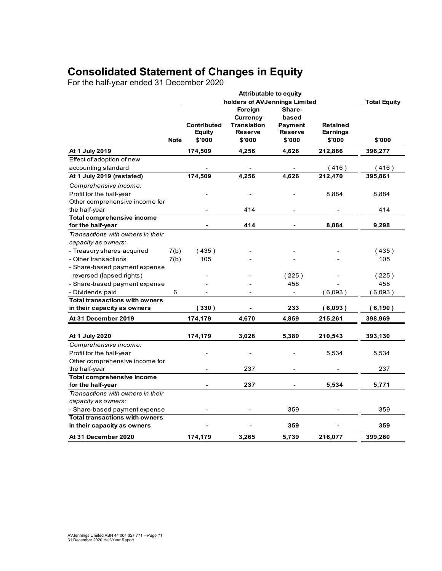## **Consolidated Statement of Changes in Equity**

For the half-year ended 31 December 2020

|                                                        |             | holders of AVJennings Limited |                    |                |                 | <b>Total Equity</b> |
|--------------------------------------------------------|-------------|-------------------------------|--------------------|----------------|-----------------|---------------------|
|                                                        |             |                               | Foreign            | Share-         |                 |                     |
|                                                        |             |                               | Currency           | based          |                 |                     |
|                                                        |             | <b>Contributed</b>            | <b>Translation</b> | Payment        | <b>Retained</b> |                     |
|                                                        |             | <b>Equity</b>                 | <b>Reserve</b>     | <b>Reserve</b> | <b>Earnings</b> |                     |
|                                                        | <b>Note</b> | \$'000                        | \$'000             | \$'000         | \$'000          | \$'000              |
| At 1 July 2019                                         |             | 174,509                       | 4,256              | 4,626          | 212,886         | 396,277             |
| Effect of adoption of new                              |             |                               |                    |                |                 |                     |
| accounting standard                                    |             |                               |                    |                | (416)           | (416)               |
| At 1 July 2019 (restated)                              |             | 174,509                       | 4,256              | 4,626          | 212,470         | 395,861             |
| Comprehensive income:                                  |             |                               |                    |                |                 |                     |
| Profit for the half-year                               |             |                               |                    |                | 8,884           | 8,884               |
| Other comprehensive income for                         |             |                               |                    |                |                 |                     |
| the half-year                                          |             |                               | 414                |                |                 | 414                 |
| <b>Total comprehensive income</b>                      |             |                               |                    |                |                 |                     |
| for the half-year                                      |             |                               | 414                |                | 8,884           | 9,298               |
| Transactions with owners in their                      |             |                               |                    |                |                 |                     |
| capacity as owners:                                    |             |                               |                    |                |                 |                     |
| - Treasury shares acquired                             | 7(b)        | (435)                         |                    |                |                 | (435)               |
| - Other transactions                                   | 7(b)        | 105                           |                    |                |                 | 105                 |
| - Share-based payment expense                          |             |                               |                    |                |                 |                     |
| reversed (lapsed rights)                               |             |                               |                    | (225)          |                 | (225)               |
| - Share-based payment expense                          |             |                               |                    | 458            |                 | 458                 |
| - Dividends paid                                       | 6           |                               |                    |                | (6,093)         | (6,093)             |
| <b>Total transactions with owners</b>                  |             |                               |                    |                |                 |                     |
| in their capacity as owners                            |             | (330)                         |                    | 233            | (6,093)         | (6, 190)            |
| At 31 December 2019                                    |             | 174,179                       | 4,670              | 4,859          | 215,261         | 398,969             |
|                                                        |             |                               |                    |                |                 |                     |
| At 1 July 2020                                         |             | 174,179                       | 3,028              | 5,380          | 210,543         | 393,130             |
| Comprehensive income:                                  |             |                               |                    |                |                 |                     |
| Profit for the half-year                               |             |                               |                    |                | 5,534           | 5,534               |
| Other comprehensive income for                         |             |                               |                    |                |                 |                     |
| the half-year                                          |             |                               | 237                |                |                 | 237                 |
| <b>Total comprehensive income</b><br>for the half-year |             |                               | 237                |                | 5,534           | 5,771               |
| Transactions with owners in their                      |             |                               |                    |                |                 |                     |
| capacity as owners:                                    |             |                               |                    |                |                 |                     |
| - Share-based payment expense                          |             |                               |                    | 359            |                 | 359                 |
| <b>Total transactions with owners</b>                  |             |                               |                    |                |                 |                     |
| in their capacity as owners                            |             |                               |                    | 359            |                 | 359                 |
| At 31 December 2020                                    |             | 174,179                       | 3,265              | 5,739          | 216,077         | 399,260             |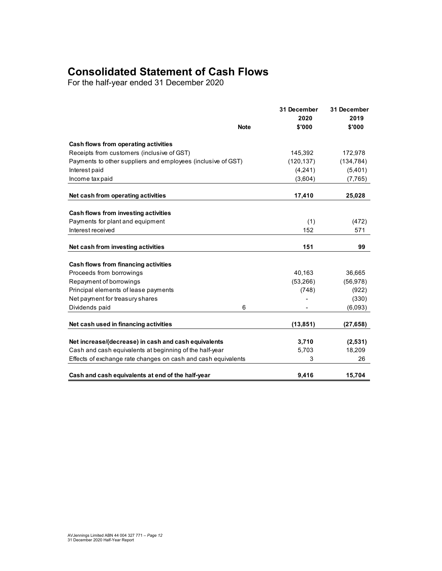## **Consolidated Statement of Cash Flows**

For the half-year ended 31 December 2020

|                                                               |             | 31 December | 31 December |  |
|---------------------------------------------------------------|-------------|-------------|-------------|--|
|                                                               |             | 2020        | 2019        |  |
|                                                               | <b>Note</b> | \$'000      | \$'000      |  |
| Cash flows from operating activities                          |             |             |             |  |
| Receipts from customers (inclusive of GST)                    |             | 145,392     | 172,978     |  |
| Payments to other suppliers and employees (inclusive of GST)  |             | (120, 137)  | (134, 784)  |  |
| Interest paid                                                 |             | (4,241)     | (5,401)     |  |
| Income tax paid                                               |             | (3,604)     | (7, 765)    |  |
| Net cash from operating activities                            |             | 17,410      | 25,028      |  |
|                                                               |             |             |             |  |
| Cash flows from investing activities                          |             |             |             |  |
| Payments for plant and equipment                              |             | (1)         | (472)       |  |
| Interest received                                             |             | 152         | 571         |  |
| Net cash from investing activities                            |             | 151         | 99          |  |
|                                                               |             |             |             |  |
| Cash flows from financing activities                          |             |             |             |  |
| Proceeds from borrowings                                      |             | 40,163      | 36,665      |  |
| Repayment of borrowings                                       |             | (53, 266)   | (56, 978)   |  |
| Principal elements of lease payments                          |             | (748)       | (922)       |  |
| Net payment for treasury shares                               |             |             | (330)       |  |
| Dividends paid                                                | 6           |             | (6,093)     |  |
| Net cash used in financing activities                         |             | (13, 851)   | (27, 658)   |  |
|                                                               |             |             |             |  |
| Net increase/(decrease) in cash and cash equivalents          |             | 3,710       | (2,531)     |  |
| Cash and cash equivalents at beginning of the half-year       |             | 5,703       | 18,209      |  |
| Effects of exchange rate changes on cash and cash equivalents |             | 3           | 26          |  |
| Cash and cash equivalents at end of the half-year             |             | 9,416       | 15,704      |  |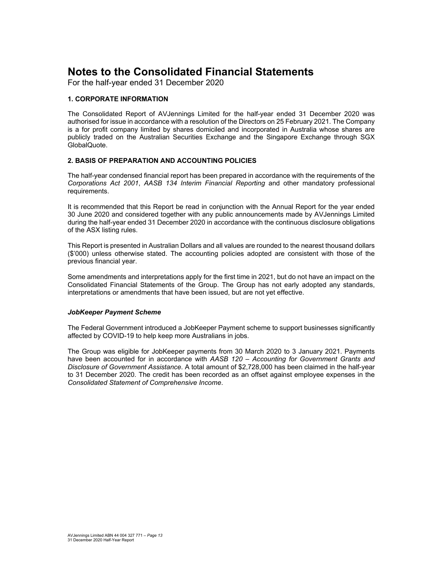For the half-year ended 31 December 2020

#### **1. CORPORATE INFORMATION**

The Consolidated Report of AVJennings Limited for the half-year ended 31 December 2020 was authorised for issue in accordance with a resolution of the Directors on 25 February 2021. The Company is a for profit company limited by shares domiciled and incorporated in Australia whose shares are publicly traded on the Australian Securities Exchange and the Singapore Exchange through SGX GlobalQuote.

#### **2. BASIS OF PREPARATION AND ACCOUNTING POLICIES**

The half-year condensed financial report has been prepared in accordance with the requirements of the *Corporations Act 2001*, *AASB 134 Interim Financial Reporting* and other mandatory professional requirements.

It is recommended that this Report be read in conjunction with the Annual Report for the year ended 30 June 2020 and considered together with any public announcements made by AVJennings Limited during the half-year ended 31 December 2020 in accordance with the continuous disclosure obligations of the ASX listing rules.

This Report is presented in Australian Dollars and all values are rounded to the nearest thousand dollars (\$'000) unless otherwise stated. The accounting policies adopted are consistent with those of the previous financial year.

Some amendments and interpretations apply for the first time in 2021, but do not have an impact on the Consolidated Financial Statements of the Group. The Group has not early adopted any standards, interpretations or amendments that have been issued, but are not yet effective.

#### *JobKeeper Payment Scheme*

The Federal Government introduced a JobKeeper Payment scheme to support businesses significantly affected by COVID-19 to help keep more Australians in jobs.

The Group was eligible for JobKeeper payments from 30 March 2020 to 3 January 2021. Payments have been accounted for in accordance with *AASB 120 – Accounting for Government Grants and Disclosure of Government Assistance*. A total amount of \$2,728,000 has been claimed in the half-year to 31 December 2020. The credit has been recorded as an offset against employee expenses in the *Consolidated Statement of Comprehensive Income*.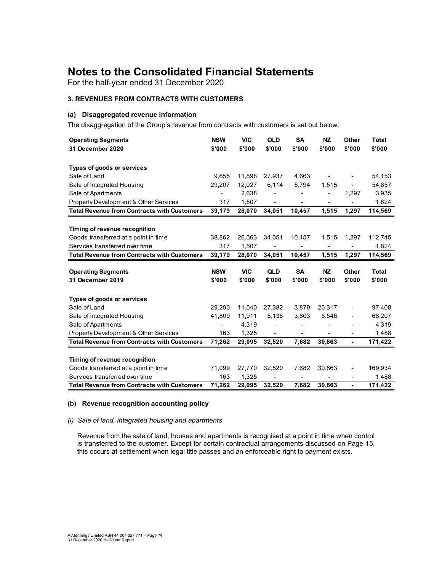For the half-year ended 31 December 2020

#### **3. REVENUES FROM CONTRACTS WITH CUSTOMERS**

#### **(a) Disaggregated revenue information**

The disaggregation of the Group's revenue from contracts with customers is set out below:

| <b>Operating Segments</b>                                                                              | <b>NSW</b>    | <b>VIC</b>      | QLD                          | <b>SA</b>      | <b>NZ</b> | <b>Other</b>                 | <b>Total</b>     |
|--------------------------------------------------------------------------------------------------------|---------------|-----------------|------------------------------|----------------|-----------|------------------------------|------------------|
| 31 December 2020                                                                                       | \$'000        | \$'000          | \$'000                       | \$'000         | \$'000    | \$'000                       | \$'000           |
|                                                                                                        |               |                 |                              |                |           |                              |                  |
| Types of goods or services                                                                             |               |                 |                              |                |           |                              |                  |
| Sale of Land                                                                                           | 9.655         | 11.898          | 27,937                       | 4,663          |           |                              | 54,153           |
| Sale of Integrated Housing                                                                             | 29,207        | 12,027          | 6,114                        | 5,794          | 1,515     |                              | 54,657           |
| Sale of Apartments                                                                                     |               | 2,638           |                              |                |           | 1,297                        | 3,935            |
| Property Development & Other Services                                                                  | 317           | 1,507           |                              | ۰              |           |                              | 1,824            |
| <b>Total Revenue from Contracts with Customers</b>                                                     | 39,179        | 28,070          | 34,051                       | 10,457         | 1,515     | 1,297                        | 114,569          |
|                                                                                                        |               |                 |                              |                |           |                              |                  |
| Timing of revenue recognition                                                                          |               |                 |                              |                |           |                              |                  |
| Goods transferred at a point in time                                                                   | 38,862        | 26,563          | 34,051                       | 10,457         | 1,515     | 1,297                        | 112,745          |
| Services transferred over time                                                                         | 317           | 1,507           | ÷,                           | $\overline{a}$ |           | ä,                           | 1,824            |
| <b>Total Revenue from Contracts with Customers</b>                                                     | 39,179        | 28,070          | 34,051                       | 10,457         | 1,515     | 1,297                        | 114,569          |
|                                                                                                        |               |                 |                              |                |           |                              |                  |
|                                                                                                        |               |                 |                              |                |           |                              |                  |
| <b>Operating Segments</b>                                                                              | <b>NSW</b>    | <b>VIC</b>      | <b>QLD</b>                   | <b>SA</b>      | <b>NZ</b> | Other                        | <b>Total</b>     |
| 31 December 2019                                                                                       | \$'000        | \$'000          | \$'000                       | \$'000         | \$'000    | \$'000                       | \$'000           |
|                                                                                                        |               |                 |                              |                |           |                              |                  |
| Types of goods or services                                                                             |               |                 |                              |                |           |                              |                  |
| Sale of Land                                                                                           | 29,290        | 11,540          | 27,382                       | 3,879          | 25,317    |                              | 97,408           |
| Sale of Integrated Housing                                                                             | 41,809        | 11,911          | 5,138                        | 3,803<br>٠     | 5,546     |                              | 68,207           |
| Sale of Apartments                                                                                     | -             | 4,319           | $\qquad \qquad \blacksquare$ | ٠              |           | $\qquad \qquad \blacksquare$ | 4,319            |
| <b>Property Development &amp; Other Services</b><br><b>Total Revenue from Contracts with Customers</b> | 163<br>71,262 | 1,325<br>29,095 | 32,520                       | 7,682          | 30,863    | ٠                            | 1,488<br>171,422 |
|                                                                                                        |               |                 |                              |                |           |                              |                  |
| Timing of revenue recognition                                                                          |               |                 |                              |                |           |                              |                  |
| Goods transferred at a point in time                                                                   | 71,099        | 27,770          | 32,520                       | 7,682          | 30,863    | $\blacksquare$               | 169,934          |
| Services transferred over time                                                                         | 163           | 1,325           |                              |                |           |                              | 1,488            |

#### **(b) Revenue recognition accounting policy**

#### *(i) Sale of land, integrated housing and apartments*

Revenue from the sale of land, houses and apartments is recognised at a point in time when control is transferred to the customer. Except for certain contractual arrangements discussed on Page 15, this occurs at settlement when legal title passes and an enforceable right to payment exists.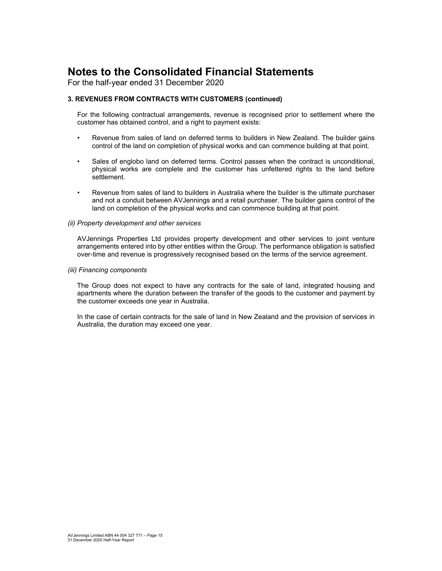For the half-year ended 31 December 2020

#### **3. REVENUES FROM CONTRACTS WITH CUSTOMERS (continued)**

For the following contractual arrangements, revenue is recognised prior to settlement where the customer has obtained control, and a right to payment exists:

- Revenue from sales of land on deferred terms to builders in New Zealand. The builder gains control of the land on completion of physical works and can commence building at that point.
- Sales of englobo land on deferred terms. Control passes when the contract is unconditional, physical works are complete and the customer has unfettered rights to the land before settlement.
- Revenue from sales of land to builders in Australia where the builder is the ultimate purchaser and not a conduit between AVJennings and a retail purchaser. The builder gains control of the land on completion of the physical works and can commence building at that point.

#### *(ii) Property development and other services*

AVJennings Properties Ltd provides property development and other services to joint venture arrangements entered into by other entities within the Group. The performance obligation is satisfied over-time and revenue is progressively recognised based on the terms of the service agreement.

#### *(iii) Financing components*

The Group does not expect to have any contracts for the sale of land, integrated housing and apartments where the duration between the transfer of the goods to the customer and payment by the customer exceeds one year in Australia.

In the case of certain contracts for the sale of land in New Zealand and the provision of services in Australia, the duration may exceed one year.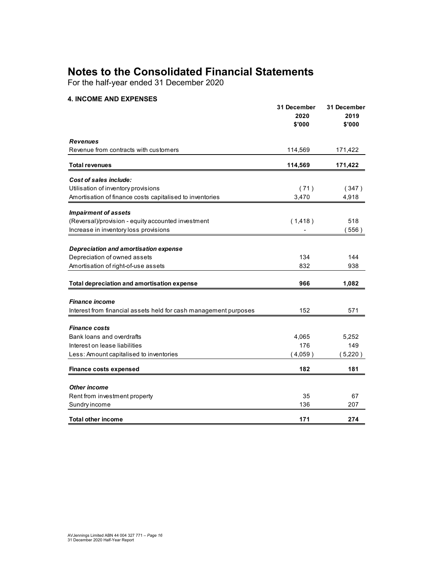For the half-year ended 31 December 2020

#### **4. INCOME AND EXPENSES**

|                                                                  | 31 December<br>2020<br>\$'000 | 31 December<br>2019<br>\$'000 |
|------------------------------------------------------------------|-------------------------------|-------------------------------|
| <b>Revenues</b>                                                  |                               |                               |
| Revenue from contracts with customers                            | 114,569                       | 171,422                       |
| <b>Total revenues</b>                                            | 114,569                       | 171,422                       |
| Cost of sales include:                                           |                               |                               |
| Utilisation of inventory provisions                              | (71)                          | (347)                         |
| Amortisation of finance costs capitalised to inventories         | 3,470                         | 4,918                         |
| <b>Impairment of assets</b>                                      |                               |                               |
| (Reversal)/provision - equity accounted investment               | (1, 418)                      | 518                           |
| Increase in inventory loss provisions                            |                               | (556)                         |
| Depreciation and amortisation expense                            |                               |                               |
| Depreciation of owned assets                                     | 134                           | 144                           |
| Amortisation of right-of-use assets                              | 832                           | 938                           |
| Total depreciation and amortisation expense                      | 966                           | 1,082                         |
|                                                                  |                               |                               |
| <b>Finance income</b>                                            |                               |                               |
| Interest from financial assets held for cash management purposes | 152                           | 571                           |
| <b>Finance costs</b>                                             |                               |                               |
| Bank loans and overdrafts                                        | 4,065                         | 5,252                         |
| Interest on lease liabilities                                    | 176                           | 149                           |
| Less: Amount capitalised to inventories                          | (4,059)                       | (5,220)                       |
| <b>Finance costs expensed</b>                                    | 182                           | 181                           |
|                                                                  |                               |                               |
| <b>Other income</b>                                              |                               |                               |
| Rent from investment property                                    | 35                            | 67                            |
| Sundry income                                                    | 136                           | 207                           |
| <b>Total other income</b>                                        | 171                           | 274                           |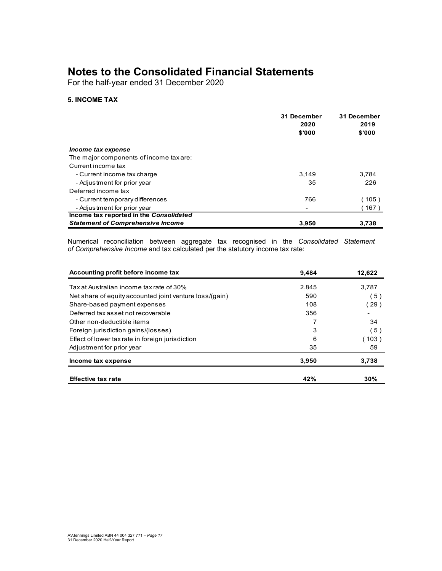For the half-year ended 31 December 2020

#### **5. INCOME TAX**

|                                          | 31 December<br>2020<br>\$'000 | 31 December<br>2019<br>\$'000 |
|------------------------------------------|-------------------------------|-------------------------------|
| Income tax expense                       |                               |                               |
| The major components of income tax are:  |                               |                               |
| Current income tax                       |                               |                               |
| - Current income tax charge              | 3.149                         | 3.784                         |
| - Adjustment for prior year              | 35                            | 226                           |
| Deferred income tax                      |                               |                               |
| - Current temporary differences          | 766                           | (105)                         |
| - Adjustment for prior year              |                               | 167)                          |
| Income tax reported in the Consolidated  |                               |                               |
| <b>Statement of Comprehensive Income</b> | 3,950                         | 3.738                         |

Numerical reconciliation between aggregate tax recognised in the *Consolidated Statement of Comprehensive Income* and tax calculated per the statutory income tax rate:

| Accounting profit before income tax                     | 9.484 | 12,622 |
|---------------------------------------------------------|-------|--------|
| Tax at Australian income tax rate of 30%                | 2,845 | 3,787  |
| Net share of equity accounted joint venture loss/(gain) | 590   | 5)     |
| Share-based payment expenses                            | 108   | (29)   |
| Deferred tax asset not recoverable                      | 356   |        |
| Other non-deductible items                              |       | 34     |
| Foreign jurisdiction gains/(losses)                     | 3     | 5)     |
| Effect of lower tax rate in foreign jurisdiction        | 6     | (103)  |
| Adjustment for prior year                               | 35    | 59     |
| Income tax expense                                      | 3.950 | 3,738  |
| <b>Effective tax rate</b>                               | 42%   | 30%    |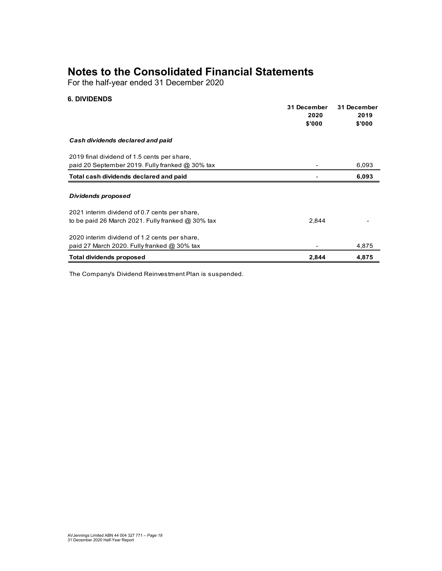For the half-year ended 31 December 2020

#### **6. DIVIDENDS**

|                                                     | 31 December<br>2020<br>\$'000 | 31 December<br>2019<br>\$'000 |
|-----------------------------------------------------|-------------------------------|-------------------------------|
| Cash dividends declared and paid                    |                               |                               |
| 2019 final dividend of 1.5 cents per share,         |                               |                               |
| paid 20 September 2019. Fully franked $@30\%$ tax   |                               | 6,093                         |
| Total cash dividends declared and paid              |                               | 6,093                         |
| Dividends proposed                                  |                               |                               |
| 2021 interim dividend of 0.7 cents per share,       |                               |                               |
| to be paid 26 March 2021. Fully franked $@30\%$ tax | 2,844                         |                               |
| 2020 interim dividend of 1.2 cents per share,       |                               |                               |
| paid 27 March 2020. Fully franked $@30\%$ tax       |                               | 4,875                         |
| <b>Total dividends proposed</b>                     | 2,844                         | 4,875                         |

The Company's Dividend Reinvestment Plan is suspended.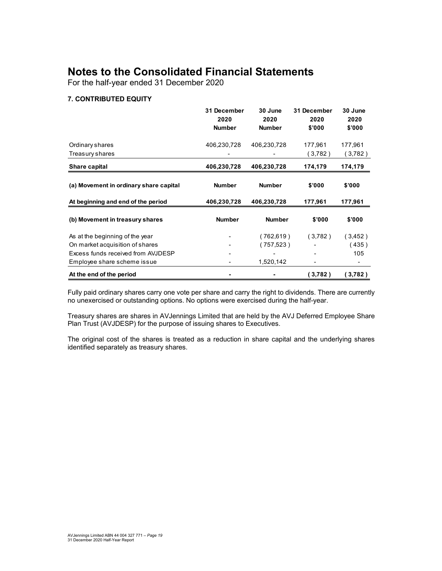For the half-year ended 31 December 2020

#### **7. CONTRIBUTED EQUITY**

|                                        | 31 December<br>2020<br><b>Number</b> | 30 June<br>2020<br><b>Number</b> | 31 December<br>2020<br>\$'000 | 30 June<br>2020<br>\$'000 |
|----------------------------------------|--------------------------------------|----------------------------------|-------------------------------|---------------------------|
| Ordinary shares                        | 406,230,728                          | 406,230,728                      | 177,961                       | 177,961                   |
| Treasury shares                        |                                      |                                  | (3,782)                       | (3,782)                   |
| Share capital                          | 406,230,728                          | 406,230,728                      | 174,179                       | 174,179                   |
| (a) Movement in ordinary share capital | <b>Number</b>                        | <b>Number</b>                    | \$'000                        | \$'000                    |
| At beginning and end of the period     | 406,230,728                          | 406,230,728                      | 177,961                       | 177,961                   |
| (b) Movement in treasury shares        | <b>Number</b>                        | <b>Number</b>                    | \$'000                        | \$'000                    |
| As at the beginning of the year        |                                      | (762,619)                        | (3,782)                       | (3,452)                   |
| On market acquisition of shares        |                                      | (757,523)                        |                               | (435)                     |
| Excess funds received from AVJDESP     |                                      |                                  |                               | 105                       |
| Employee share scheme issue            |                                      | 1,520,142                        |                               |                           |
| At the end of the period               |                                      |                                  | (3,782)                       | (3,782)                   |

Fully paid ordinary shares carry one vote per share and carry the right to dividends. There are currently no unexercised or outstanding options. No options were exercised during the half-year.

Treasury shares are shares in AVJennings Limited that are held by the AVJ Deferred Employee Share Plan Trust (AVJDESP) for the purpose of issuing shares to Executives.

The original cost of the shares is treated as a reduction in share capital and the underlying shares identified separately as treasury shares.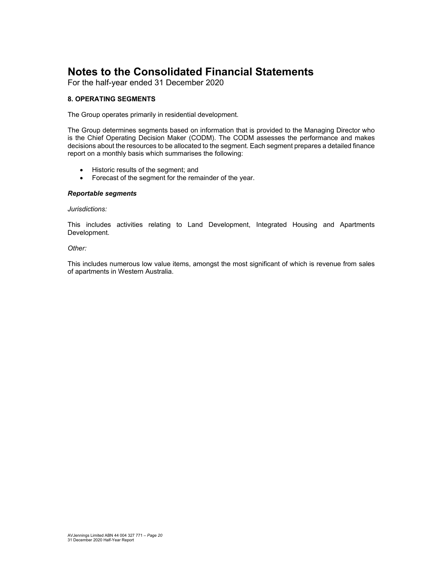For the half-year ended 31 December 2020

#### **8. OPERATING SEGMENTS**

The Group operates primarily in residential development.

The Group determines segments based on information that is provided to the Managing Director who is the Chief Operating Decision Maker (CODM). The CODM assesses the performance and makes decisions about the resources to be allocated to the segment. Each segment prepares a detailed finance report on a monthly basis which summarises the following:

- Historic results of the segment; and
- Forecast of the segment for the remainder of the year.

#### *Reportable segments*

#### *Jurisdictions:*

This includes activities relating to Land Development, Integrated Housing and Apartments Development.

#### *Other:*

This includes numerous low value items, amongst the most significant of which is revenue from sales of apartments in Western Australia.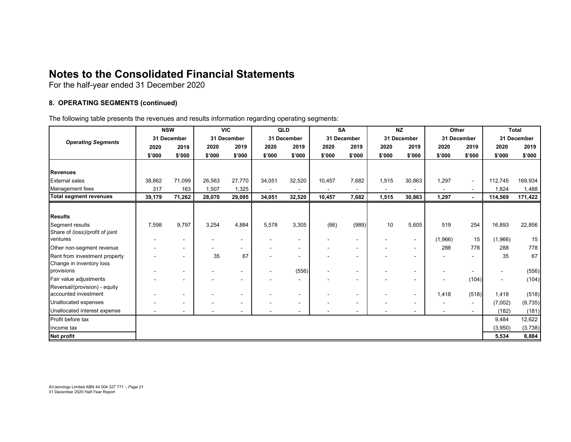For the half-year ended 31 December 2020

#### **8. OPERATING SEGMENTS (continued)**

The following table presents the revenues and results information regarding operating segments:

|                                 | <b>NSW</b>  |        | <b>VIC</b>  |                          | QLD    | <b>SA</b>                    |             | <b>NZ</b> |             | Other                    |                | <b>Total</b>   |         |             |
|---------------------------------|-------------|--------|-------------|--------------------------|--------|------------------------------|-------------|-----------|-------------|--------------------------|----------------|----------------|---------|-------------|
|                                 | 31 December |        | 31 December |                          |        | 31 December                  | 31 December |           | 31 December |                          | 31 December    |                |         | 31 December |
| <b>Operating Segments</b>       | 2020        | 2019   | 2020        | 2019                     | 2020   | 2019                         | 2020        | 2019      | 2020        | 2019                     | 2020           | 2019           | 2020    | 2019        |
|                                 | \$'000      | \$'000 | \$'000      | \$'000                   | \$'000 | \$'000                       | \$'000      | \$'000    | \$'000      | \$'000                   | \$'000         | \$'000         | \$'000  | \$'000      |
|                                 |             |        |             |                          |        |                              |             |           |             |                          |                |                |         |             |
| <b>Revenues</b>                 |             |        |             |                          |        |                              |             |           |             |                          |                |                |         |             |
| <b>External sales</b>           | 38,862      | 71,099 | 26,563      | 27,770                   | 34,051 | 32,520                       | 10,457      | 7,682     | 1,515       | 30,863                   | 1,297          | $\sim$         | 112,745 | 169,934     |
| Management fees                 | 317         | 163    | 1,507       | 1,325                    |        |                              |             |           |             |                          |                | $\sim$         | 1,824   | 1,488       |
| <b>Total segment revenues</b>   | 39,179      | 71,262 | 28,070      | 29,095                   | 34,051 | 32,520                       | 10,457      | 7,682     | 1,515       | 30,863                   | 1,297          | $\blacksquare$ | 114,569 | 171,422     |
|                                 |             |        |             |                          |        |                              |             |           |             |                          |                |                |         |             |
| <b>Results</b>                  |             |        |             |                          |        |                              |             |           |             |                          |                |                |         |             |
| Segment results                 | 7,598       | 9,797  | 3,254       | 4,884                    | 5,578  | 3,305                        | (66)        | (989)     | 10          | 5,605                    | 519            | 254            | 16,893  | 22,856      |
| Share of (loss)/profit of joint |             |        |             |                          |        |                              |             |           |             |                          |                |                |         |             |
| ventures                        |             |        |             |                          |        | $\qquad \qquad \blacksquare$ |             |           |             | $\sim$                   | (1,966)        | 15             | (1,966) | 15          |
| Other non-segment revenue       |             |        |             | $\sim$                   |        | $\blacksquare$               |             |           |             | $\overline{\phantom{a}}$ | 288            | 778            | 288     | 778         |
| Rent from investment property   |             |        | 35          | 67                       |        | $\blacksquare$               |             |           |             | $\blacksquare$           |                |                | 35      | 67          |
| Change in inventory loss        |             |        |             |                          |        |                              |             |           |             |                          |                |                |         |             |
| provisions                      |             |        |             |                          |        | (556)                        |             |           |             | $\,$ $\,$                |                |                |         | (556)       |
| Fair value adjustments          |             |        |             |                          |        | $\sim$                       |             |           |             | $\blacksquare$           |                | (104)          |         | (104)       |
| Reversal/(provision) - equity   |             |        |             |                          |        |                              |             |           |             |                          |                |                |         |             |
| accounted investment            |             |        |             | $\overline{\phantom{a}}$ |        | $\blacksquare$               |             |           |             | $\overline{\phantom{a}}$ | 1,418          | (518)          | 1,418   | (518)       |
| Unallocated expenses            |             |        |             |                          |        | $\blacksquare$               |             |           |             | $\blacksquare$           |                | $\sim$         | (7,002) | (9, 735)    |
| Unallocated interest expense    |             |        |             |                          |        |                              |             |           |             |                          | $\blacksquare$ | $\blacksquare$ | (182)   | (181)       |
| Profit before tax               |             |        |             |                          |        |                              |             |           |             |                          |                |                | 9,484   | 12,622      |
| Income tax                      |             |        |             |                          |        |                              |             |           |             |                          |                |                | (3,950) | (3,738)     |
| <b>Net profit</b>               |             |        |             |                          |        |                              |             |           |             |                          |                |                | 5,534   | 8,884       |

AVJennings Limited ABN 44 004 327 771 – *Page 21*  31 December 2020 Half-Year Report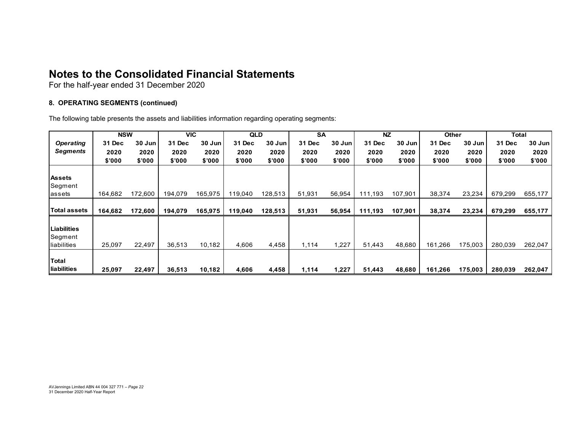For the half-year ended 31 December 2020

#### **8. OPERATING SEGMENTS (continued)**

The following table presents the assets and liabilities information regarding operating segments:

|                  | <b>NSW</b> |         |         | <b>VIC</b> | <b>QLD</b> |         | <b>SA</b> |        | <b>NZ</b> |         | <b>Other</b> |         | Total   |         |
|------------------|------------|---------|---------|------------|------------|---------|-----------|--------|-----------|---------|--------------|---------|---------|---------|
| <b>Operating</b> | 31 Dec     | 30 Jun  | 31 Dec  | 30 Jun     | 31 Dec     | 30 Jun  | 31 Dec    | 30 Jun | 31 Dec    | 30 Jun  | 31 Dec       | 30 Jun  | 31 Dec  | 30 Jun  |
| Segments         | 2020       | 2020    | 2020    | 2020       | 2020       | 2020    | 2020      | 2020   | 2020      | 2020    | 2020         | 2020    | 2020    | 2020    |
|                  | \$'000     | \$'000  | \$'000  | \$'000     | \$'000     | \$'000  | \$'000    | \$'000 | \$'000    | \$'000  | \$'000       | \$'000  | \$'000  | \$'000  |
|                  |            |         |         |            |            |         |           |        |           |         |              |         |         |         |
| <b>Assets</b>    |            |         |         |            |            |         |           |        |           |         |              |         |         |         |
| Segment          |            |         |         |            |            |         |           |        |           |         |              |         |         |         |
| lassets          | 164,682    | 172.600 | 194,079 | 165,975    | 119,040    | 128,513 | 51.931    | 56,954 | 111.193   | 107,901 | 38,374       | 23,234  | 679,299 | 655,177 |
|                  |            |         |         |            |            |         |           |        |           |         |              |         |         |         |
| Total assets     | 164,682    | 172,600 | 194,079 | 165,975    | 119,040    | 128,513 | 51,931    | 56,954 | 111,193   | 107,901 | 38,374       | 23,234  | 679,299 | 655,177 |
|                  |            |         |         |            |            |         |           |        |           |         |              |         |         |         |
| Liabilities      |            |         |         |            |            |         |           |        |           |         |              |         |         |         |
| Segment          |            |         |         |            |            |         |           |        |           |         |              |         |         |         |
| liabilities      | 25,097     | 22,497  | 36,513  | 10,182     | 4,606      | 4,458   | 1,114     | 1,227  | 51,443    | 48,680  | 161,266      | 175,003 | 280,039 | 262,047 |
|                  |            |         |         |            |            |         |           |        |           |         |              |         |         |         |
| Total            |            |         |         |            |            |         |           |        |           |         |              |         |         |         |
| liabilities      | 25,097     | 22,497  | 36,513  | 10,182     | 4,606      | 4,458   | 1,114     | 1,227  | 51,443    | 48,680  | 161,266      | 175,003 | 280,039 | 262,047 |

AVJennings Limited ABN 44 004 327 771 – *Page 22*  31 December 2020 Half-Year Report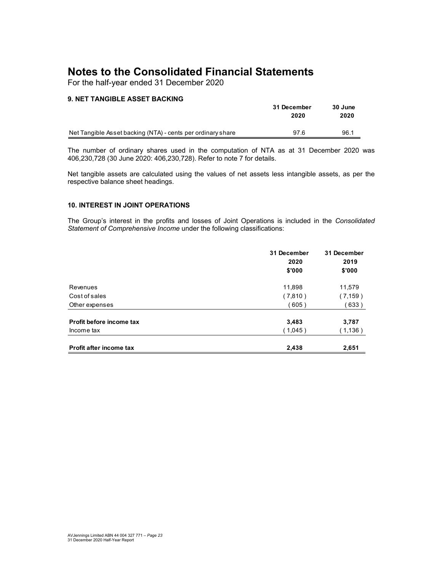For the half-year ended 31 December 2020

#### **9. NET TANGIBLE ASSET BACKING**

|                                                             | 31 December | 30 June |  |
|-------------------------------------------------------------|-------------|---------|--|
|                                                             | 2020        | 2020    |  |
|                                                             |             |         |  |
| Net Tangible Asset backing (NTA) - cents per ordinary share | 97.6        | 96.1    |  |

The number of ordinary shares used in the computation of NTA as at 31 December 2020 was 406,230,728 (30 June 2020: 406,230,728). Refer to note 7 for details.

Net tangible assets are calculated using the values of net assets less intangible assets, as per the respective balance sheet headings.

#### **10. INTEREST IN JOINT OPERATIONS**

The Group's interest in the profits and losses of Joint Operations is included in the *Consolidated Statement of Comprehensive Income* under the following classifications:

|                                | 31 December<br>2020<br>\$'000 | 31 December<br>2019<br>\$'000 |
|--------------------------------|-------------------------------|-------------------------------|
|                                |                               |                               |
| Revenues                       | 11,898                        | 11,579                        |
| Cost of sales                  | (7,810)                       | (7,159)                       |
| Other expenses                 | (605)                         | (633)                         |
| Profit before income tax       | 3,483                         | 3,787                         |
| Income tax                     | (1,045)                       | (1,136)                       |
| <b>Profit after income tax</b> | 2,438                         | 2,651                         |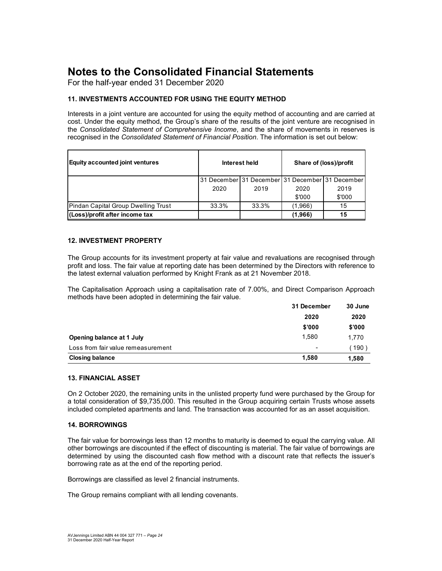For the half-year ended 31 December 2020

#### **11. INVESTMENTS ACCOUNTED FOR USING THE EQUITY METHOD**

Interests in a joint venture are accounted for using the equity method of accounting and are carried at cost. Under the equity method, the Group's share of the results of the joint venture are recognised in the *Consolidated Statement of Comprehensive Income*, and the share of movements in reserves is recognised in the *Consolidated Statement of Financial Position*. The information is set out below:

| <b>Equity accounted joint ventures</b> |       | Interest held                                   | Share of (loss)/profit |        |  |
|----------------------------------------|-------|-------------------------------------------------|------------------------|--------|--|
|                                        |       | 31 December 31 December 31 December 31 December |                        |        |  |
|                                        | 2020  | 2019                                            | 2020                   | 2019   |  |
|                                        |       |                                                 | \$'000                 | \$'000 |  |
| Pindan Capital Group Dwelling Trust    | 33.3% | 33.3%                                           | (1,966)                | 15     |  |
| (Loss)/profit after income tax         |       |                                                 | (1,966)                | 15     |  |

#### **12. INVESTMENT PROPERTY**

The Group accounts for its investment property at fair value and revaluations are recognised through profit and loss. The fair value at reporting date has been determined by the Directors with reference to the latest external valuation performed by Knight Frank as at 21 November 2018.

The Capitalisation Approach using a capitalisation rate of 7.00%, and Direct Comparison Approach methods have been adopted in determining the fair value.

|                                    | 31 December              | 30 June |  |
|------------------------------------|--------------------------|---------|--|
|                                    | 2020                     | 2020    |  |
|                                    | \$'000                   | \$'000  |  |
| Opening balance at 1 July          | 1.580                    | 1.770   |  |
| Loss from fair value remeasurement | $\overline{\phantom{0}}$ | 190)    |  |
| <b>Closing balance</b>             | 1.580                    | 1,580   |  |

#### **13. FINANCIAL ASSET**

On 2 October 2020, the remaining units in the unlisted property fund were purchased by the Group for a total consideration of \$9,735,000. This resulted in the Group acquiring certain Trusts whose assets included completed apartments and land. The transaction was accounted for as an asset acquisition.

#### **14. BORROWINGS**

The fair value for borrowings less than 12 months to maturity is deemed to equal the carrying value. All other borrowings are discounted if the effect of discounting is material. The fair value of borrowings are determined by using the discounted cash flow method with a discount rate that reflects the issuer's borrowing rate as at the end of the reporting period.

Borrowings are classified as level 2 financial instruments.

The Group remains compliant with all lending covenants.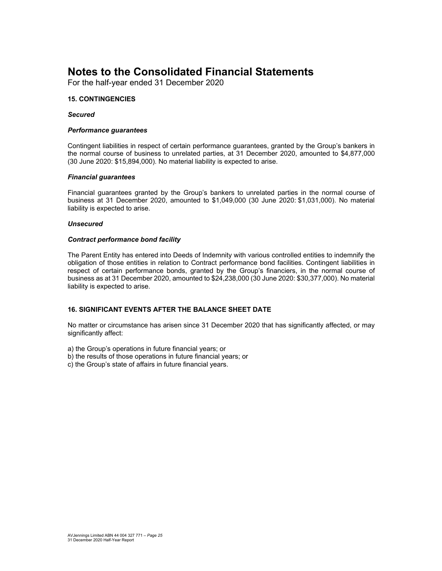For the half-year ended 31 December 2020

#### **15. CONTINGENCIES**

#### *Secured*

#### *Performance guarantees*

Contingent liabilities in respect of certain performance guarantees, granted by the Group's bankers in the normal course of business to unrelated parties, at 31 December 2020, amounted to \$4,877,000 (30 June 2020: \$15,894,000). No material liability is expected to arise.

#### *Financial guarantees*

Financial guarantees granted by the Group's bankers to unrelated parties in the normal course of business at 31 December 2020, amounted to \$1,049,000 (30 June 2020: \$1,031,000). No material liability is expected to arise.

#### *Unsecured*

#### *Contract performance bond facility*

The Parent Entity has entered into Deeds of Indemnity with various controlled entities to indemnify the obligation of those entities in relation to Contract performance bond facilities. Contingent liabilities in respect of certain performance bonds, granted by the Group's financiers, in the normal course of business as at 31 December 2020, amounted to \$24,238,000 (30 June 2020: \$30,377,000). No material liability is expected to arise.

#### **16. SIGNIFICANT EVENTS AFTER THE BALANCE SHEET DATE**

No matter or circumstance has arisen since 31 December 2020 that has significantly affected, or may significantly affect:

a) the Group's operations in future financial years; or

- b) the results of those operations in future financial years; or
- c) the Group's state of affairs in future financial years.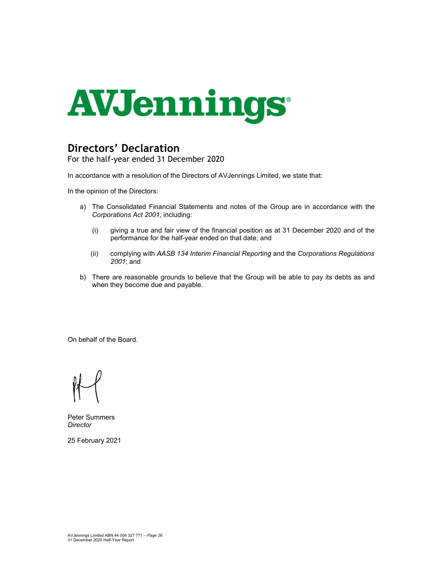

## **Directors' Declaration**

For the half-year ended 31 December 2020

In accordance with a resolution of the Directors of AVJennings Limited, we state that:

In the opinion of the Directors:

- a) The Consolidated Financial Statements and notes of the Group are in accordance with the *Corporations Act 2001*, including:
	- (i) giving a true and fair view of the financial position as at 31 December 2020 and of the performance for the half-year ended on that date; and
	- (ii) complying with *AASB 134 Interim Financial Reporting* and the *Corporations Regulations 2001*; and
- b) There are reasonable grounds to believe that the Group will be able to pay its debts as and when they become due and payable.

On behalf of the Board.

Peter Summers *Director* 

25 February 2021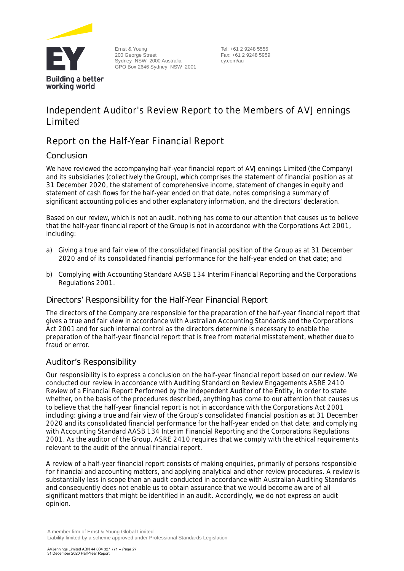

Ernst & Young 200 George Street Sydney NSW 2000 Australia GPO Box 2646 Sydney NSW 2001

Tel: +61 2 9248 5555 Fax: +61 2 9248 5959 ey.com/au

## **Independent Auditor's Review Report to the Members of AVJennings Limited**

### **Report on the Half-Year Financial Report**

#### Conclusion

We have reviewed the accompanying half-year financial report of AVJennings Limited (the Company) and its subsidiaries (collectively the Group), which comprises the statement of financial position as at 31 December 2020, the statement of comprehensive income, statement of changes in equity and statement of cash flows for the half-year ended on that date, notes comprising a summary of significant accounting policies and other explanatory information, and the directors' declaration.

Based on our review, which is not an audit, nothing has come to our attention that causes us to believe that the half-year financial report of the Group is not in accordance with the *Corporations Act 2001*, including:

- a) Giving a true and fair view of the consolidated financial position of the Group as at 31 December 2020 and of its consolidated financial performance for the half-year ended on that date; and
- b) Complying with Accounting Standard AASB 134 *Interim Financial Reporting* and the *Corporations Regulations 2001*.

#### Directors' Responsibility for the Half-Year Financial Report

The directors of the Company are responsible for the preparation of the half-year financial report that gives a true and fair view in accordance with Australian Accounting Standards and the *Corporations Act 2001*and for such internal control as the directors determine is necessary to enable the preparation of the half-year financial report that is free from material misstatement, whether due to fraud or error.

#### Auditor's Responsibility

Our responsibility is to express a conclusion on the half-year financial report based on our review. We conducted our review in accordance with Auditing Standard on Review Engagements ASRE 2410 *Review of a Financial Report Performed by the Independent Auditor of the Entity*, in order to state whether, on the basis of the procedures described, anything has come to our attention that causes us to believe that the half-year financial report is not in accordance with the *Corporations Act 2001* including: giving a true and fair view of the Group's consolidated financial position as at 31 December 2020 and its consolidated financial performance for the half-year ended on that date; and complying with Accounting Standard AASB 134 *Interim Financial Reporting* and the *Corporations Regulations 2001*. As the auditor of the Group, ASRE 2410 requires that we comply with the ethical requirements relevant to the audit of the annual financial report.

A review of a half-year financial report consists of making enquiries, primarily of persons responsible for financial and accounting matters, and applying analytical and other review procedures. A review is substantially less in scope than an audit conducted in accordance with Australian Auditing Standards and consequently does not enable us to obtain assurance that we would become aware of all significant matters that might be identified in an audit. Accordingly, we do not express an audit opinion.

A member firm of Ernst & Young Global Limited Liability limited by a scheme approved under Professional Standards Legislation